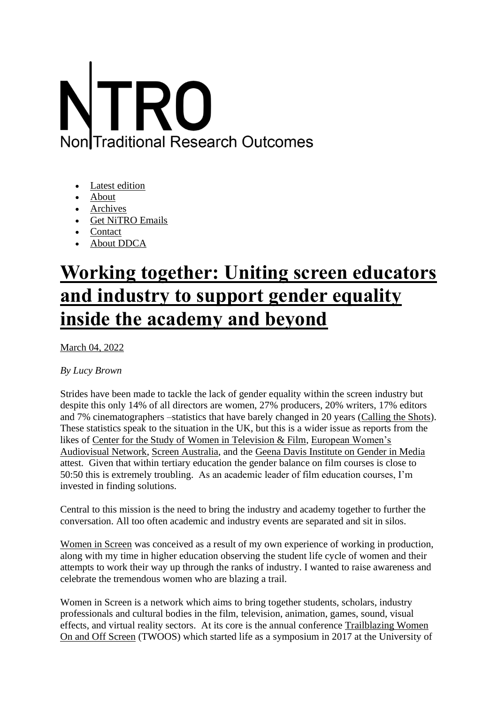## **Non**ITraditional Research Outcomes

- [Latest edition](https://nitro.edu.au/)
- [About](https://nitro.edu.au/articles/2022/3/4/working-together-uniting-screen-educators-and-industry-to-support-gender-equality-inside-the-academy-and-beyond)
- [Archives](https://nitro.edu.au/archive)
- [Get NiTRO Emails](https://nitro.edu.au/subscribe)
- [Contact](https://nitro.edu.au/contact)
- [About DDCA](https://www.ddca.edu.au/)

## **[Working together: Uniting screen educators](https://nitro.edu.au/articles/2022/3/4/working-together-uniting-screen-educators-and-industry-to-support-gender-equality-inside-the-academy-and-beyond)  [and industry to support gender equality](https://nitro.edu.au/articles/2022/3/4/working-together-uniting-screen-educators-and-industry-to-support-gender-equality-inside-the-academy-and-beyond)  [inside the academy and beyond](https://nitro.edu.au/articles/2022/3/4/working-together-uniting-screen-educators-and-industry-to-support-gender-equality-inside-the-academy-and-beyond)**

[March 04, 2022](https://nitro.edu.au/articles/2022/3/4/working-together-uniting-screen-educators-and-industry-to-support-gender-equality-inside-the-academy-and-beyond)

## *By Lucy Brown*

Strides have been made to tackle the lack of gender equality within the screen industry but despite this only 14% of all directors are women, 27% producers, 20% writers, 17% editors and 7% cinematographers –statistics that have barely changed in 20 years [\(Calling the Shots\)](https://womencallingtheshots.com/). These statistics speak to the situation in the UK, but this is a wider issue as reports from the likes of [Center for the Study of Women in Television & Film,](https://womenintvfilm.sdsu.edu/) [European Women's](https://www.ewawomen.com/research/)  [Audiovisual Network,](https://www.ewawomen.com/research/) [Screen Australia,](https://www.screenaustralia.gov.au/sa/screen-news/2019/05-15-women-below-the-line/part-1-film-school-industry-data) and the [Geena Davis Institute on Gender in Media](https://seejane.org/research-informs-empowers/?itm_term=home) attest. Given that within tertiary education the gender balance on film courses is close to 50:50 this is extremely troubling. As an academic leader of film education courses, I'm invested in finding solutions.

Central to this mission is the need to bring the industry and academy together to further the conversation. All too often academic and industry events are separated and sit in silos.

[Women in Screen](https://twitter.com/womeninscreen) was conceived as a result of my own experience of working in production, along with my time in higher education observing the student life cycle of women and their attempts to work their way up through the ranks of industry. I wanted to raise awareness and celebrate the tremendous women who are blazing a trail.

Women in Screen is a network which aims to bring together students, scholars, industry professionals and cultural bodies in the film, television, animation, games, sound, visual effects, and virtual reality sectors. At its core is the annual conference [Trailblazing Women](https://www.facebook.com/WomenInScreen/)  [On and Off Screen](https://www.facebook.com/WomenInScreen/) (TWOOS) which started life as a symposium in 2017 at the University of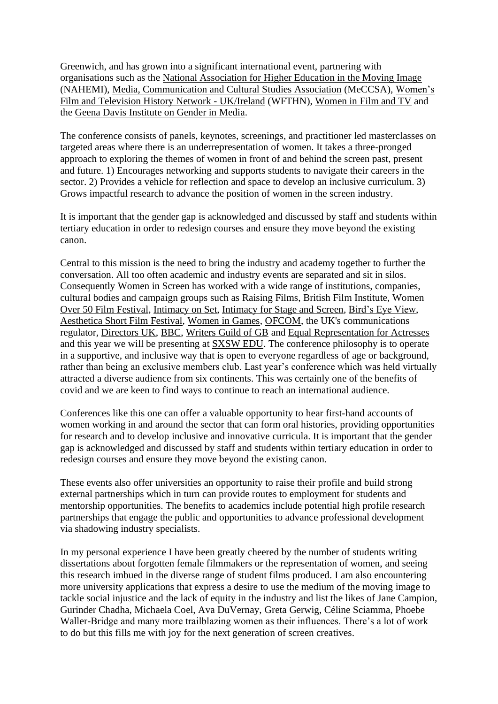Greenwich, and has grown into a significant international event, partnering with organisations such as the [National Association for Higher Education in the Moving Image](http://nahemi.org/) (NAHEMI), [Media, Communication and Cultural Studies Association](https://www.meccsa.org.uk/) (MeCCSA), [Women's](https://womensfilmandtelevisionhistory.wordpress.com/)  [Film and Television History Network -](https://womensfilmandtelevisionhistory.wordpress.com/) UK/Ireland (WFTHN), [Women in Film and TV](https://www.wftv.org.uk/) and the [Geena Davis Institute on Gender in Media.](https://seejane.org/)

The conference consists of panels, keynotes, screenings, and practitioner led masterclasses on targeted areas where there is an underrepresentation of women. It takes a three-pronged approach to exploring the themes of women in front of and behind the screen past, present and future. 1) Encourages networking and supports students to navigate their careers in the sector. 2) Provides a vehicle for reflection and space to develop an inclusive curriculum. 3) Grows impactful research to advance the position of women in the screen industry.

It is important that the gender gap is acknowledged and discussed by staff and students within tertiary education in order to redesign courses and ensure they move beyond the existing canon.

Central to this mission is the need to bring the industry and academy together to further the conversation. All too often academic and industry events are separated and sit in silos. Consequently Women in Screen has worked with a wide range of institutions, companies, cultural bodies and campaign groups such as [Raising Films,](https://www.raisingfilms.com/) [British Film Institute,](https://www.bfi.org.uk/) [Women](https://wofff.co.uk/)  [Over 50 Film Festival,](https://wofff.co.uk/) [Intimacy on Set,](https://www.intimacyonset.com/) [Intimacy for Stage and Screen,](https://www.intimacyforstageandscreen.com/) [Bird's Eye View,](https://www.birds-eye-view.co.uk/) [Aesthetica Short Film Festival,](https://www.asff.co.uk/) [Women in Games,](https://www.womeningames.org/) [OFCOM,](https://www.ofcom.org.uk/home) the UK's communications regulator, [Directors UK,](https://directors.uk.com/) [BBC,](https://www.bbc.co.uk/) [Writers Guild of GB](https://writersguild.org.uk/) and [Equal Representation for Actresses](https://www.era5050.co.uk/) and this year we will be presenting at [SXSW EDU.](https://www.sxswedu.com/) The conference philosophy is to operate in a supportive, and inclusive way that is open to everyone regardless of age or background, rather than being an exclusive members club. Last year's conference which was held virtually attracted a diverse audience from six continents. This was certainly one of the benefits of covid and we are keen to find ways to continue to reach an international audience.

Conferences like this one can offer a valuable opportunity to hear first-hand accounts of women working in and around the sector that can form oral histories, providing opportunities for research and to develop inclusive and innovative curricula. It is important that the gender gap is acknowledged and discussed by staff and students within tertiary education in order to redesign courses and ensure they move beyond the existing canon.

These events also offer universities an opportunity to raise their profile and build strong external partnerships which in turn can provide routes to employment for students and mentorship opportunities. The benefits to academics include potential high profile research partnerships that engage the public and opportunities to advance professional development via shadowing industry specialists.

In my personal experience I have been greatly cheered by the number of students writing dissertations about forgotten female filmmakers or the representation of women, and seeing this research imbued in the diverse range of student films produced. I am also encountering more university applications that express a desire to use the medium of the moving image to tackle social injustice and the lack of equity in the industry and list the likes of Jane Campion, Gurinder Chadha, Michaela Coel, Ava DuVernay, Greta Gerwig, Céline Sciamma, Phoebe Waller-Bridge and many more trailblazing women as their influences. There's a lot of work to do but this fills me with joy for the next generation of screen creatives.